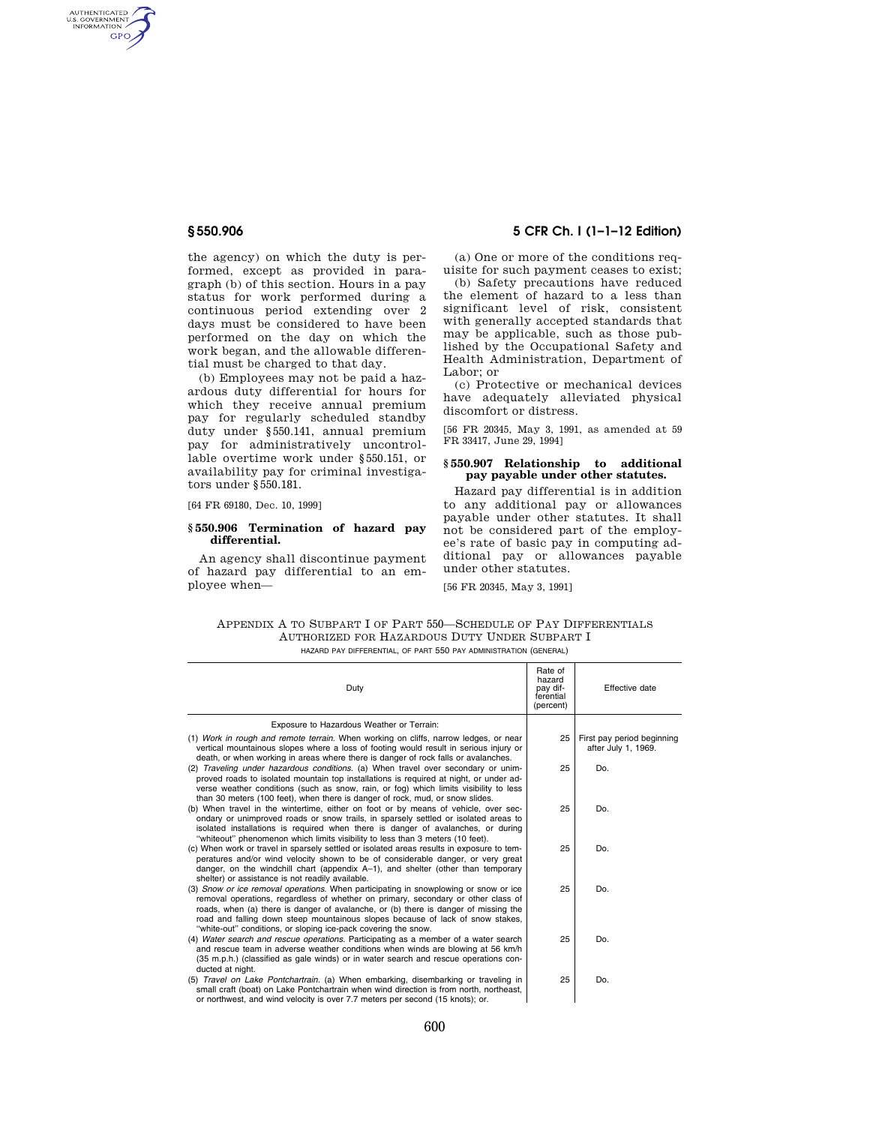AUTHENTICATED<br>U.S. GOVERNMENT<br>INFORMATION GPO

> the agency) on which the duty is performed, except as provided in paragraph (b) of this section. Hours in a pay status for work performed during a continuous period extending over 2 days must be considered to have been performed on the day on which the work began, and the allowable differential must be charged to that day.

> (b) Employees may not be paid a hazardous duty differential for hours for which they receive annual premium pay for regularly scheduled standby duty under §550.141, annual premium pay for administratively uncontrollable overtime work under §550.151, or availability pay for criminal investigators under §550.181.

[64 FR 69180, Dec. 10, 1999]

### **§ 550.906 Termination of hazard pay differential.**

An agency shall discontinue payment of hazard pay differential to an employee when—

### **§ 550.906 5 CFR Ch. I (1–1–12 Edition)**

(a) One or more of the conditions requisite for such payment ceases to exist;

(b) Safety precautions have reduced the element of hazard to a less than significant level of risk, consistent with generally accepted standards that may be applicable, such as those published by the Occupational Safety and Health Administration, Department of Labor; or

(c) Protective or mechanical devices have adequately alleviated physical discomfort or distress.

[56 FR 20345, May 3, 1991, as amended at 59 FR 33417, June 29, 1994]

### **§ 550.907 Relationship to additional pay payable under other statutes.**

Hazard pay differential is in addition to any additional pay or allowances payable under other statutes. It shall not be considered part of the employee's rate of basic pay in computing additional pay or allowances payable under other statutes.

[56 FR 20345, May 3, 1991]

| APPENDIX A TO SUBPART I OF PART 550—SCHEDULE OF PAY DIFFERENTIALS |
|-------------------------------------------------------------------|
| AUTHORIZED FOR HAZARDOUS DUTY UNDER SUBPART I                     |
| HAZARD PAY DIFFERENTIAL, OF PART 550 PAY ADMINISTRATION (GENERAL) |

| Duty                                                                                                                                                                                                                                                                                                                                                                                                                 | Rate of<br>hazard<br>pay dif-<br>ferential<br>(percent) | Effective date                                    |
|----------------------------------------------------------------------------------------------------------------------------------------------------------------------------------------------------------------------------------------------------------------------------------------------------------------------------------------------------------------------------------------------------------------------|---------------------------------------------------------|---------------------------------------------------|
| Exposure to Hazardous Weather or Terrain:                                                                                                                                                                                                                                                                                                                                                                            |                                                         |                                                   |
| (1) Work in rough and remote terrain. When working on cliffs, narrow ledges, or near<br>vertical mountainous slopes where a loss of footing would result in serious injury or<br>death, or when working in areas where there is danger of rock falls or avalanches.                                                                                                                                                  | 25                                                      | First pay period beginning<br>after July 1, 1969. |
| (2) Traveling under hazardous conditions, (a) When travel over secondary or unim-<br>proved roads to isolated mountain top installations is required at night, or under ad-<br>verse weather conditions (such as snow, rain, or fog) which limits visibility to less<br>than 30 meters (100 feet), when there is danger of rock, mud, or snow slides.                                                                | 25                                                      | Do.                                               |
| (b) When travel in the wintertime, either on foot or by means of vehicle, over sec-<br>ondary or unimproved roads or snow trails, in sparsely settled or isolated areas to<br>isolated installations is required when there is danger of avalanches, or during<br>"whiteout" phenomenon which limits visibility to less than 3 meters (10 feet).                                                                     | 25                                                      | Do.                                               |
| (c) When work or travel in sparsely settled or isolated areas results in exposure to tem-<br>peratures and/or wind velocity shown to be of considerable danger, or very great<br>danger, on the windchill chart (appendix $A-1$ ), and shelter (other than temporary<br>shelter) or assistance is not readily available.                                                                                             | 25                                                      | Do.                                               |
| (3) Snow or ice removal operations. When participating in snowplowing or snow or ice<br>removal operations, regardless of whether on primary, secondary or other class of<br>roads, when (a) there is danger of avalanche, or (b) there is danger of missing the<br>road and falling down steep mountainous slopes because of lack of snow stakes,<br>"white-out" conditions, or sloping ice-pack covering the snow. | 25                                                      | Do.                                               |
| (4) Water search and rescue operations. Participating as a member of a water search<br>and rescue team in adverse weather conditions when winds are blowing at 56 km/h<br>(35 m.p.h.) (classified as gale winds) or in water search and rescue operations con-<br>ducted at night.                                                                                                                                   | 25                                                      | Do.                                               |
| (5) Travel on Lake Pontchartrain. (a) When embarking, disembarking or traveling in<br>small craft (boat) on Lake Pontchartrain when wind direction is from north, northeast,<br>or northwest, and wind velocity is over 7.7 meters per second (15 knots); or.                                                                                                                                                        | 25                                                      | Do.                                               |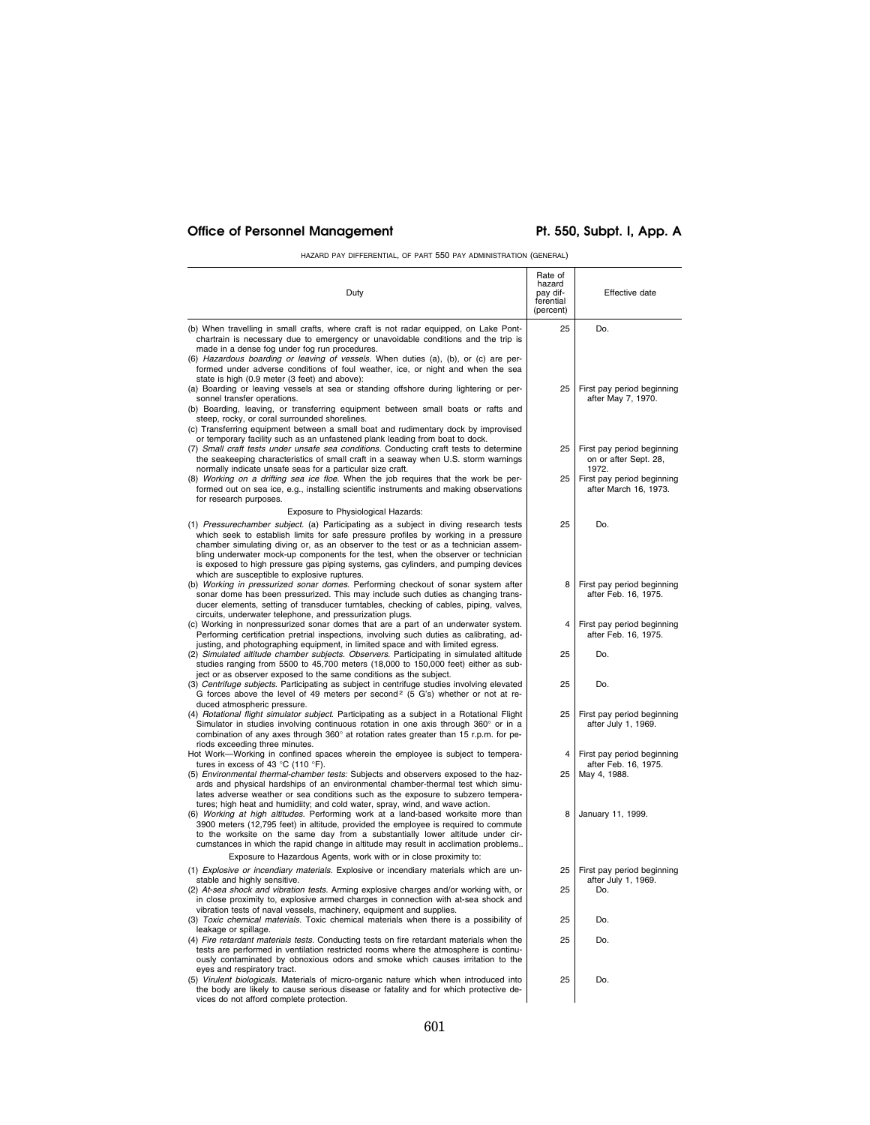# Office of Personnel Management Pt. 550, Subpt. I, App. A

HAZARD PAY DIFFERENTIAL, OF PART 550 PAY ADMINISTRATION (GENERAL)

| Duty                                                                                                                                                                                                                                                                                                                                                                                                                                                                                                                              | Rate of<br>hazard<br>pay dif-<br>ferential<br>(percent) | Effective date                                                     |
|-----------------------------------------------------------------------------------------------------------------------------------------------------------------------------------------------------------------------------------------------------------------------------------------------------------------------------------------------------------------------------------------------------------------------------------------------------------------------------------------------------------------------------------|---------------------------------------------------------|--------------------------------------------------------------------|
| (b) When travelling in small crafts, where craft is not radar equipped, on Lake Pont-<br>chartrain is necessary due to emergency or unavoidable conditions and the trip is<br>made in a dense fog under fog run procedures.<br>(6) Hazardous boarding or leaving of vessels. When duties (a), (b), or (c) are per-                                                                                                                                                                                                                | 25                                                      | Do.                                                                |
| formed under adverse conditions of foul weather, ice, or night and when the sea<br>state is high (0.9 meter (3 feet) and above):<br>(a) Boarding or leaving vessels at sea or standing offshore during lightering or per-<br>sonnel transfer operations.<br>(b) Boarding, leaving, or transferring equipment between small boats or rafts and<br>steep, rocky, or coral surrounded shorelines.                                                                                                                                    | 25                                                      | First pay period beginning<br>after May 7, 1970.                   |
| (c) Transferring equipment between a small boat and rudimentary dock by improvised<br>or temporary facility such as an unfastened plank leading from boat to dock.<br>(7) Small craft tests under unsafe sea conditions. Conducting craft tests to determine<br>the seakeeping characteristics of small craft in a seaway when U.S. storm warnings<br>normally indicate unsafe seas for a particular size craft.                                                                                                                  | 25                                                      | First pay period beginning<br>on or after Sept. 28,<br>1972.       |
| (8) Working on a drifting sea ice floe. When the job requires that the work be per-<br>formed out on sea ice, e.g., installing scientific instruments and making observations<br>for research purposes.                                                                                                                                                                                                                                                                                                                           | 25                                                      | First pay period beginning<br>after March 16, 1973.                |
| Exposure to Physiological Hazards:<br>(1) Pressurechamber subject. (a) Participating as a subject in diving research tests<br>which seek to establish limits for safe pressure profiles by working in a pressure<br>chamber simulating diving or, as an observer to the test or as a technician assem-<br>bling underwater mock-up components for the test, when the observer or technician<br>is exposed to high pressure gas piping systems, gas cylinders, and pumping devices<br>which are susceptible to explosive ruptures. | 25                                                      | Do.                                                                |
| (b) Working in pressurized sonar domes. Performing checkout of sonar system after<br>sonar dome has been pressurized. This may include such duties as changing trans-<br>ducer elements, setting of transducer turntables, checking of cables, piping, valves,<br>circuits, underwater telephone, and pressurization plugs.                                                                                                                                                                                                       | 8                                                       | First pay period beginning<br>after Feb. 16, 1975.                 |
| (c) Working in nonpressurized sonar domes that are a part of an underwater system.<br>Performing certification pretrial inspections, involving such duties as calibrating, ad-<br>justing, and photographing equipment, in limited space and with limited egress.                                                                                                                                                                                                                                                                 | 4                                                       | First pay period beginning<br>after Feb. 16, 1975.                 |
| (2) Simulated altitude chamber subjects. Observers. Participating in simulated altitude<br>studies ranging from 5500 to 45,700 meters (18,000 to 150,000 feet) either as sub-<br>ject or as observer exposed to the same conditions as the subject.                                                                                                                                                                                                                                                                               | 25                                                      | Do.                                                                |
| (3) Centrifuge subjects. Participating as subject in centrifuge studies involving elevated<br>G forces above the level of 49 meters per second <sup>2</sup> (5 G's) whether or not at re-<br>duced atmospheric pressure.                                                                                                                                                                                                                                                                                                          | 25                                                      | Do.                                                                |
| (4) Rotational flight simulator subject. Participating as a subject in a Rotational Flight<br>Simulator in studies involving continuous rotation in one axis through 360° or in a<br>combination of any axes through 360° at rotation rates greater than 15 r.p.m. for pe-<br>riods exceeding three minutes.                                                                                                                                                                                                                      | 25                                                      | First pay period beginning<br>after July 1, 1969.                  |
| Hot Work-Working in confined spaces wherein the employee is subject to tempera-<br>tures in excess of 43 $^{\circ}$ C (110 $^{\circ}$ F).<br>(5) Environmental thermal-chamber tests: Subjects and observers exposed to the haz-<br>ards and physical hardships of an environmental chamber-thermal test which simu-<br>lates adverse weather or sea conditions such as the exposure to subzero tempera-<br>tures; high heat and humidiity; and cold water, spray, wind, and wave action.                                         | 4<br>25                                                 | First pay period beginning<br>after Feb. 16, 1975.<br>May 4, 1988. |
| (6) Working at high altitudes. Performing work at a land-based worksite more than<br>3900 meters (12,795 feet) in altitude, provided the employee is required to commute<br>to the worksite on the same day from a substantially lower altitude under cir-<br>cumstances in which the rapid change in altitude may result in acclimation problems                                                                                                                                                                                 | 8                                                       | January 11, 1999.                                                  |
| Exposure to Hazardous Agents, work with or in close proximity to:<br>(1) Explosive or incendiary materials. Explosive or incendiary materials which are un-                                                                                                                                                                                                                                                                                                                                                                       | 25                                                      | First pay period beginning                                         |
| stable and highly sensitive.<br>(2) At-sea shock and vibration tests. Arming explosive charges and/or working with, or<br>in close proximity to, explosive armed charges in connection with at-sea shock and                                                                                                                                                                                                                                                                                                                      | 25                                                      | after July 1, 1969.<br>Do.                                         |
| vibration tests of naval vessels, machinery, equipment and supplies.<br>(3) Toxic chemical materials. Toxic chemical materials when there is a possibility of                                                                                                                                                                                                                                                                                                                                                                     | 25                                                      | Do.                                                                |
| leakage or spillage.<br>(4) Fire retardant materials tests. Conducting tests on fire retardant materials when the                                                                                                                                                                                                                                                                                                                                                                                                                 | 25                                                      | Do.                                                                |
| tests are performed in ventilation restricted rooms where the atmosphere is continu-<br>ously contaminated by obnoxious odors and smoke which causes irritation to the<br>eyes and respiratory tract.                                                                                                                                                                                                                                                                                                                             |                                                         |                                                                    |
| (5) Virulent biologicals. Materials of micro-organic nature which when introduced into<br>the body are likely to cause serious disease or fatality and for which protective de-<br>vices do not afford complete protection.                                                                                                                                                                                                                                                                                                       | 25                                                      | Do.                                                                |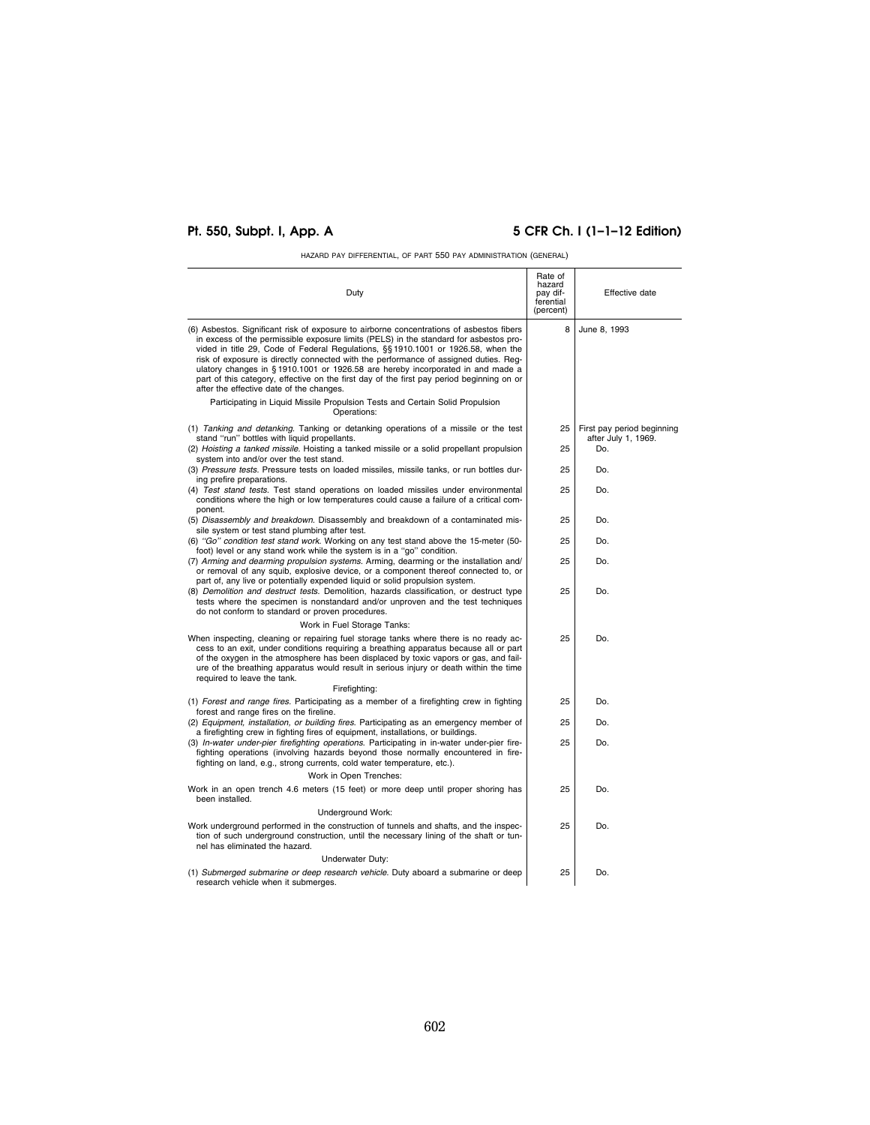# **Pt. 550, Subpt. I, App. A 5 CFR Ch. I (1–1–12 Edition)**

HAZARD PAY DIFFERENTIAL, OF PART 550 PAY ADMINISTRATION (GENERAL)

| Duty                                                                                                                                                                                                                                                                                                                                                                                                                                                                                                                                                                                      | Rate of<br>hazard<br>pay dif-<br>ferential<br>(percent) | Effective date                                    |
|-------------------------------------------------------------------------------------------------------------------------------------------------------------------------------------------------------------------------------------------------------------------------------------------------------------------------------------------------------------------------------------------------------------------------------------------------------------------------------------------------------------------------------------------------------------------------------------------|---------------------------------------------------------|---------------------------------------------------|
| (6) Asbestos. Significant risk of exposure to airborne concentrations of asbestos fibers<br>in excess of the permissible exposure limits (PELS) in the standard for asbestos pro-<br>vided in title 29, Code of Federal Regulations, §§ 1910.1001 or 1926.58, when the<br>risk of exposure is directly connected with the performance of assigned duties. Reg-<br>ulatory changes in §1910.1001 or 1926.58 are hereby incorporated in and made a<br>part of this category, effective on the first day of the first pay period beginning on or<br>after the effective date of the changes. | 8                                                       | June 8, 1993                                      |
| Participating in Liquid Missile Propulsion Tests and Certain Solid Propulsion<br>Operations:                                                                                                                                                                                                                                                                                                                                                                                                                                                                                              |                                                         |                                                   |
| (1) Tanking and detanking. Tanking or detanking operations of a missile or the test<br>stand "run" bottles with liquid propellants.                                                                                                                                                                                                                                                                                                                                                                                                                                                       | 25                                                      | First pay period beginning<br>after July 1, 1969. |
| (2) Hoisting a tanked missile. Hoisting a tanked missile or a solid propellant propulsion<br>system into and/or over the test stand.                                                                                                                                                                                                                                                                                                                                                                                                                                                      | 25                                                      | Do.                                               |
| (3) Pressure tests. Pressure tests on loaded missiles, missile tanks, or run bottles dur-<br>ing prefire preparations.                                                                                                                                                                                                                                                                                                                                                                                                                                                                    | 25                                                      | Do.                                               |
| (4) Test stand tests. Test stand operations on loaded missiles under environmental<br>conditions where the high or low temperatures could cause a failure of a critical com-<br>ponent.                                                                                                                                                                                                                                                                                                                                                                                                   | 25                                                      | Do.                                               |
| (5) Disassembly and breakdown. Disassembly and breakdown of a contaminated mis-<br>sile system or test stand plumbing after test.                                                                                                                                                                                                                                                                                                                                                                                                                                                         | 25                                                      | Do.                                               |
| (6) "Go" condition test stand work. Working on any test stand above the 15-meter (50-<br>foot) level or any stand work while the system is in a "go" condition.                                                                                                                                                                                                                                                                                                                                                                                                                           | 25                                                      | Do.                                               |
| (7) Arming and dearming propulsion systems. Arming, dearming or the installation and/<br>or removal of any squib, explosive device, or a component thereof connected to, or<br>part of, any live or potentially expended liquid or solid propulsion system.                                                                                                                                                                                                                                                                                                                               | 25                                                      | Do.                                               |
| (8) Demolition and destruct tests. Demolition, hazards classification, or destruct type<br>tests where the specimen is nonstandard and/or unproven and the test techniques<br>do not conform to standard or proven procedures.                                                                                                                                                                                                                                                                                                                                                            | 25                                                      | Do.                                               |
| Work in Fuel Storage Tanks:                                                                                                                                                                                                                                                                                                                                                                                                                                                                                                                                                               |                                                         |                                                   |
| When inspecting, cleaning or repairing fuel storage tanks where there is no ready ac-<br>cess to an exit, under conditions requiring a breathing apparatus because all or part<br>of the oxygen in the atmosphere has been displaced by toxic vapors or gas, and fail-<br>ure of the breathing apparatus would result in serious injury or death within the time<br>required to leave the tank.<br>Firefighting:                                                                                                                                                                          | 25                                                      | Do.                                               |
| (1) Forest and range fires. Participating as a member of a firefighting crew in fighting                                                                                                                                                                                                                                                                                                                                                                                                                                                                                                  | 25                                                      | Do.                                               |
| forest and range fires on the fireline.<br>(2) Equipment, installation, or building fires. Participating as an emergency member of<br>a firefighting crew in fighting fires of equipment, installations, or buildings.                                                                                                                                                                                                                                                                                                                                                                    | 25                                                      | Do.                                               |
| (3) In-water under-pier firefighting operations. Participating in in-water under-pier fire-<br>fighting operations (involving hazards beyond those normally encountered in fire-<br>fighting on land, e.g., strong currents, cold water temperature, etc.).                                                                                                                                                                                                                                                                                                                               | 25                                                      | Do.                                               |
| Work in Open Trenches:                                                                                                                                                                                                                                                                                                                                                                                                                                                                                                                                                                    |                                                         |                                                   |
| Work in an open trench 4.6 meters (15 feet) or more deep until proper shoring has<br>been installed.                                                                                                                                                                                                                                                                                                                                                                                                                                                                                      | 25                                                      | Do.                                               |
| Underground Work:                                                                                                                                                                                                                                                                                                                                                                                                                                                                                                                                                                         |                                                         |                                                   |
| Work underground performed in the construction of tunnels and shafts, and the inspec-<br>tion of such underground construction, until the necessary lining of the shaft or tun-<br>nel has eliminated the hazard.                                                                                                                                                                                                                                                                                                                                                                         | 25                                                      | Do.                                               |
| Underwater Duty:                                                                                                                                                                                                                                                                                                                                                                                                                                                                                                                                                                          |                                                         |                                                   |
| (1) Submerged submarine or deep research vehicle. Duty aboard a submarine or deep<br>research vehicle when it submerges.                                                                                                                                                                                                                                                                                                                                                                                                                                                                  | 25                                                      | Do.                                               |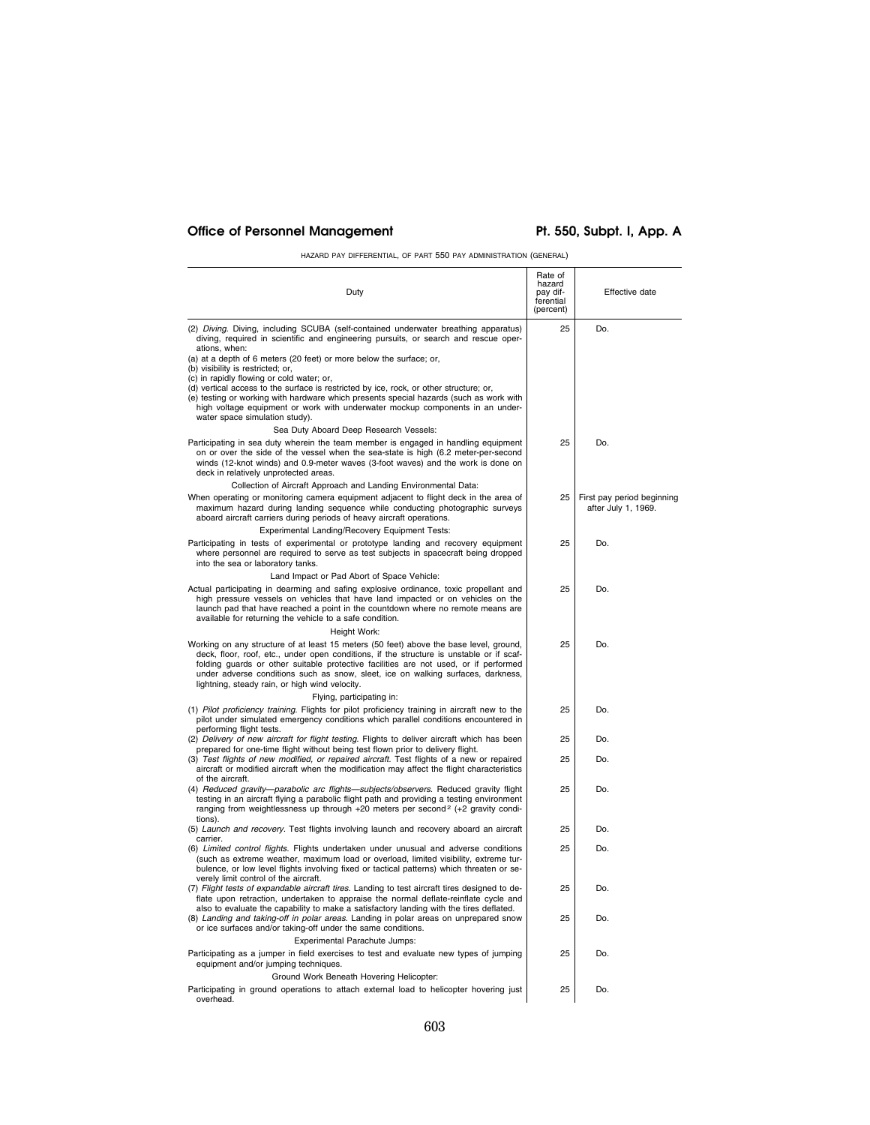# Office of Personnel Management Pt. 550, Subpt. I, App. A

HAZARD PAY DIFFERENTIAL, OF PART 550 PAY ADMINISTRATION (GENERAL)

| Duty                                                                                                                                                                                                                                                                                                                                                                                                             | Rate of<br>hazard<br>pay dif-<br>ferential<br>(percent) | Effective date                                    |
|------------------------------------------------------------------------------------------------------------------------------------------------------------------------------------------------------------------------------------------------------------------------------------------------------------------------------------------------------------------------------------------------------------------|---------------------------------------------------------|---------------------------------------------------|
| (2) Diving. Diving, including SCUBA (self-contained underwater breathing apparatus)<br>diving, required in scientific and engineering pursuits, or search and rescue oper-<br>ations, when:                                                                                                                                                                                                                      | 25                                                      | Do.                                               |
| (a) at a depth of 6 meters (20 feet) or more below the surface; or,<br>(b) visibility is restricted; or,                                                                                                                                                                                                                                                                                                         |                                                         |                                                   |
| (c) in rapidly flowing or cold water; or,<br>(d) vertical access to the surface is restricted by ice, rock, or other structure; or,<br>(e) testing or working with hardware which presents special hazards (such as work with<br>high voltage equipment or work with underwater mockup components in an under-<br>water space simulation study).                                                                 |                                                         |                                                   |
| Sea Duty Aboard Deep Research Vessels:                                                                                                                                                                                                                                                                                                                                                                           |                                                         |                                                   |
| Participating in sea duty wherein the team member is engaged in handling equipment<br>on or over the side of the vessel when the sea-state is high (6.2 meter-per-second<br>winds (12-knot winds) and 0.9-meter waves (3-foot waves) and the work is done on<br>deck in relatively unprotected areas.                                                                                                            | 25                                                      | Do.                                               |
| Collection of Aircraft Approach and Landing Environmental Data:                                                                                                                                                                                                                                                                                                                                                  |                                                         |                                                   |
| When operating or monitoring camera equipment adjacent to flight deck in the area of<br>maximum hazard during landing sequence while conducting photographic surveys<br>aboard aircraft carriers during periods of heavy aircraft operations.                                                                                                                                                                    | 25                                                      | First pay period beginning<br>after July 1, 1969. |
| Experimental Landing/Recovery Equipment Tests:                                                                                                                                                                                                                                                                                                                                                                   |                                                         |                                                   |
| Participating in tests of experimental or prototype landing and recovery equipment<br>where personnel are required to serve as test subjects in spacecraft being dropped<br>into the sea or laboratory tanks.                                                                                                                                                                                                    | 25                                                      | Do.                                               |
| Land Impact or Pad Abort of Space Vehicle:                                                                                                                                                                                                                                                                                                                                                                       |                                                         |                                                   |
| Actual participating in dearming and safing explosive ordinance, toxic propellant and<br>high pressure vessels on vehicles that have land impacted or on vehicles on the<br>launch pad that have reached a point in the countdown where no remote means are<br>available for returning the vehicle to a safe condition.                                                                                          | 25                                                      | Do.                                               |
| Height Work:                                                                                                                                                                                                                                                                                                                                                                                                     |                                                         |                                                   |
| Working on any structure of at least 15 meters (50 feet) above the base level, ground,<br>deck, floor, roof, etc., under open conditions, if the structure is unstable or if scaf-<br>folding guards or other suitable protective facilities are not used, or if performed<br>under adverse conditions such as snow, sleet, ice on walking surfaces, darkness,<br>lightning, steady rain, or high wind velocity. | 25                                                      | Do.                                               |
| Flying, participating in:                                                                                                                                                                                                                                                                                                                                                                                        |                                                         |                                                   |
| (1) Pilot proficiency training. Flights for pilot proficiency training in aircraft new to the<br>pilot under simulated emergency conditions which parallel conditions encountered in<br>performing flight tests.                                                                                                                                                                                                 | 25                                                      | Do.                                               |
| (2) Delivery of new aircraft for flight testing. Flights to deliver aircraft which has been<br>prepared for one-time flight without being test flown prior to delivery flight.                                                                                                                                                                                                                                   | 25                                                      | Do.                                               |
| (3) Test flights of new modified, or repaired aircraft. Test flights of a new or repaired<br>aircraft or modified aircraft when the modification may affect the flight characteristics<br>of the aircraft.                                                                                                                                                                                                       | 25                                                      | Do.                                               |
| (4) Reduced gravity-parabolic arc flights-subjects/observers. Reduced gravity flight<br>testing in an aircraft flying a parabolic flight path and providing a testing environment<br>ranging from weightlessness up through $+20$ meters per second <sup>2</sup> ( $+2$ gravity condi-<br>tions).                                                                                                                | 25                                                      | Do.                                               |
| (5) Launch and recovery. Test flights involving launch and recovery aboard an aircraft                                                                                                                                                                                                                                                                                                                           | 25                                                      | Do.                                               |
| carrier.<br>(6) Limited control flights. Flights undertaken under unusual and adverse conditions<br>(such as extreme weather, maximum load or overload, limited visibility, extreme tur-<br>bulence, or low level flights involving fixed or tactical patterns) which threaten or se-<br>verely limit control of the aircraft.                                                                                   | 25                                                      | Do.                                               |
| (7) Flight tests of expandable aircraft tires. Landing to test aircraft tires designed to de-<br>flate upon retraction, undertaken to appraise the normal deflate-reinflate cycle and<br>also to evaluate the capability to make a satisfactory landing with the tires deflated.                                                                                                                                 | 25                                                      | Do.                                               |
| (8) Landing and taking-off in polar areas. Landing in polar areas on unprepared snow<br>or ice surfaces and/or taking-off under the same conditions.<br>Experimental Parachute Jumps:                                                                                                                                                                                                                            | 25                                                      | Do.                                               |
| Participating as a jumper in field exercises to test and evaluate new types of jumping<br>equipment and/or jumping techniques.                                                                                                                                                                                                                                                                                   | 25                                                      | Do.                                               |
| Ground Work Beneath Hovering Helicopter:<br>Participating in ground operations to attach external load to helicopter hovering just<br>overhead.                                                                                                                                                                                                                                                                  | 25                                                      | Do.                                               |